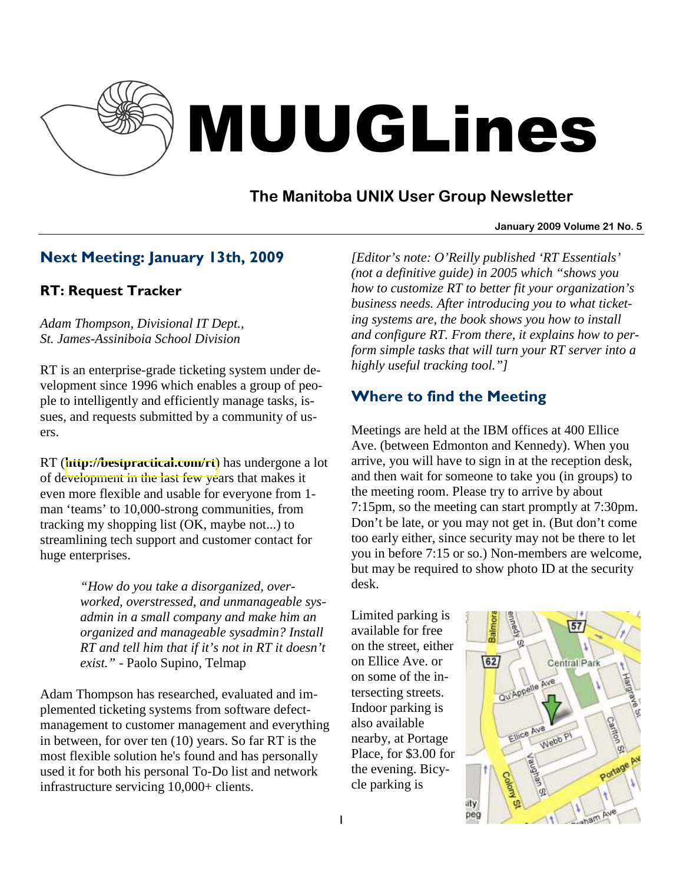

# MUUGLines

# **The Manitoba UNIX User Group Newsletter**

### **January 2009 Volume 21 No. 5**

# Next Meeting: January 13th, 2009

### RT: Request Tracker

*Adam Thompson, Divisional IT Dept., St. James-Assiniboia School Division* 

RT is an enterprise-grade ticketing system under development since 1996 which enables a group of people to intelligently and efficiently manage tasks, issues, and requests submitted by a community of users.

RT (**<http://bestpractical.com/rt>**) has undergone a lot of development in the last few years that makes it even more flexible and usable for everyone from 1 man 'teams' to 10,000-strong communities, from tracking my shopping list (OK, maybe not...) to streamlining tech support and customer contact for huge enterprises.

> *"How do you take a disorganized, overworked, overstressed, and unmanageable sysadmin in a small company and make him an organized and manageable sysadmin? Install RT and tell him that if it's not in RT it doesn't exist."* - Paolo Supino, Telmap

Adam Thompson has researched, evaluated and implemented ticketing systems from software defectmanagement to customer management and everything in between, for over ten (10) years. So far RT is the most flexible solution he's found and has personally used it for both his personal To-Do list and network infrastructure servicing 10,000+ clients.

*[Editor's note: O'Reilly published 'RT Essentials' (not a definitive guide) in 2005 which "shows you how to customize RT to better fit your organization's business needs. After introducing you to what ticketing systems are, the book shows you how to install and configure RT. From there, it explains how to perform simple tasks that will turn your RT server into a highly useful tracking tool."]* 

# Where to find the Meeting

Meetings are held at the IBM offices at 400 Ellice Ave. (between Edmonton and Kennedy). When you arrive, you will have to sign in at the reception desk, and then wait for someone to take you (in groups) to the meeting room. Please try to arrive by about 7:15pm, so the meeting can start promptly at 7:30pm. Don't be late, or you may not get in. (But don't come too early either, since security may not be there to let you in before 7:15 or so.) Non-members are welcome, but may be required to show photo ID at the security desk.

Limited parking is available for free on the street, either on Ellice Ave. or on some of the intersecting streets. Indoor parking is also available nearby, at Portage Place, for \$3.00 for the evening. Bicycle parking is

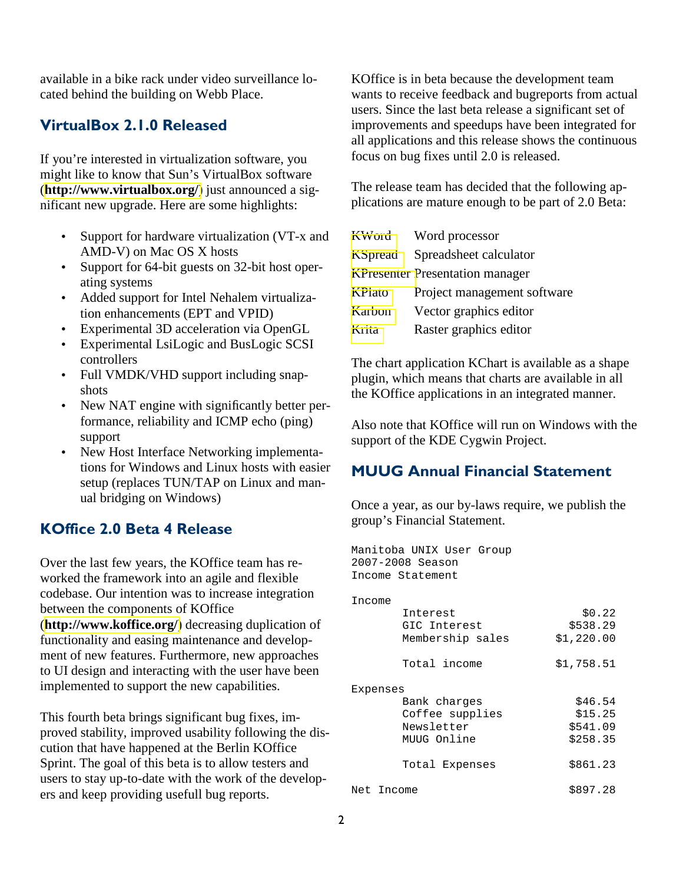available in a bike rack under video surveillance located behind the building on Webb Place.

### VirtualBox 2.1.0 Released

If you're interested in virtualization software, you might like to know that Sun's VirtualBox software (**<http://www.virtualbox.org/>**) just announced a significant new upgrade. Here are some highlights:

- Support for hardware virtualization (VT-x and AMD-V) on Mac OS X hosts
- Support for 64-bit guests on 32-bit host operating systems
- Added support for Intel Nehalem virtualization enhancements (EPT and VPID)
- Experimental 3D acceleration via OpenGL
- Experimental LsiLogic and BusLogic SCSI controllers
- Full VMDK/VHD support including snapshots
- New NAT engine with significantly better performance, reliability and ICMP echo (ping) support
- New Host Interface Networking implementations for Windows and Linux hosts with easier setup (replaces TUN/TAP on Linux and manual bridging on Windows)

## KOffice 2.0 Beta 4 Release

Over the last few years, the KOffice team has reworked the framework into an agile and flexible codebase. Our intention was to increase integration between the components of KOffice (**<http://www.koffice.org/>**) decreasing duplication of functionality and easing maintenance and development of new features. Furthermore, new approaches to UI design and interacting with the user have been implemented to support the new capabilities.

This fourth beta brings significant bug fixes, improved stability, improved usability following the discution that have happened at the Berlin KOffice Sprint. The goal of this beta is to allow testers and users to stay up-to-date with the work of the developers and keep providing usefull bug reports.

KOffice is in beta because the development team wants to receive feedback and bugreports from actual users. Since the last beta release a significant set of improvements and speedups have been integrated for all applications and this release shows the continuous focus on bug fixes until 2.0 is released.

The release team has decided that the following applications are mature enough to be part of 2.0 Beta:

| KWord           | Word processor                         |
|-----------------|----------------------------------------|
| <b>K</b> Spread | Spreadsheet calculator                 |
|                 | <b>KPresenter Presentation manager</b> |
| KPlato          | Project management software            |
| Karbon          | Vector graphics editor                 |
| Krita           | Raster graphics editor                 |

The chart application KChart is available as a shape plugin, which means that charts are available in all the KOffice applications in an integrated manner.

Also note that KOffice will run on Windows with the support of the KDE Cygwin Project.

## MUUG Annual Financial Statement

Once a year, as our by-laws require, we publish the group's Financial Statement.

Manitoba UNIX User Group 2007-2008 Season Income Statement

| Income     |                  |            |
|------------|------------------|------------|
|            | Interest         | \$0.22     |
|            | GIC Interest     | \$538.29   |
|            | Membership sales | \$1,220.00 |
|            | Total income     | \$1,758.51 |
| Expenses   |                  |            |
|            | Bank charges     | \$46.54    |
|            | Coffee supplies  | \$15.25    |
|            | Newsletter       | \$541.09   |
|            | MUUG Online      | \$258.35   |
|            | Total Expenses   | \$861.23   |
| Net Income |                  | \$897.28   |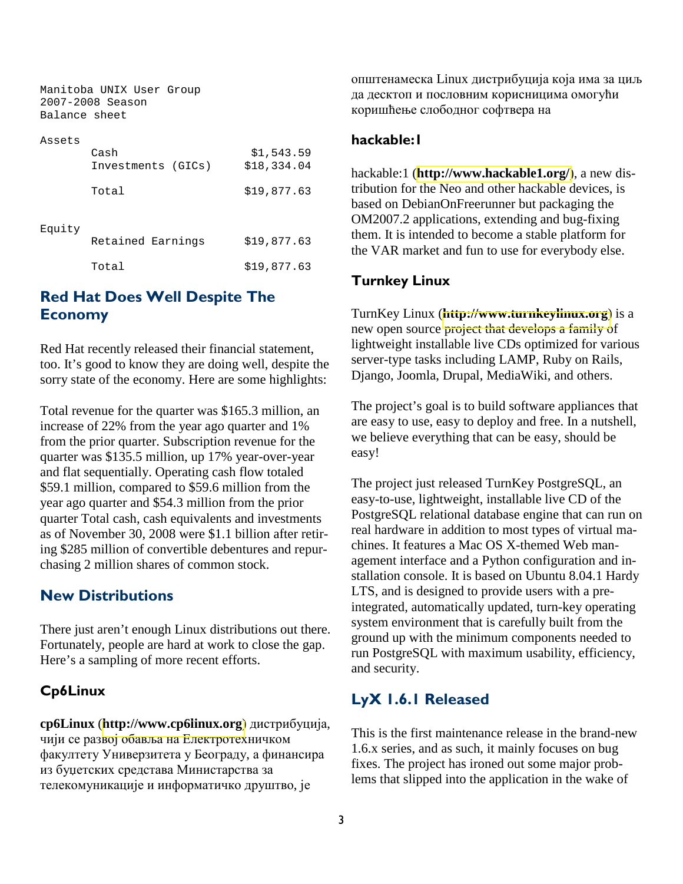Manitoba UNIX User Group 2007-2008 Season Balance sheet

| Assets | Cash<br>Investments (GICs) | \$1,543.59<br>\$18,334.04 |
|--------|----------------------------|---------------------------|
|        | Total                      | \$19,877.63               |
| Equity | Retained Earnings          | \$19,877.63               |
|        | Total                      | \$19,877.63               |

### Red Hat Does Well Despite The **Economy**

Red Hat recently released their financial statement, too. It's good to know they are doing well, despite the sorry state of the economy. Here are some highlights:

Total revenue for the quarter was \$165.3 million, an increase of 22% from the year ago quarter and 1% from the prior quarter. Subscription revenue for the quarter was \$135.5 million, up 17% year-over-year and flat sequentially. Operating cash flow totaled \$59.1 million, compared to \$59.6 million from the year ago quarter and \$54.3 million from the prior quarter Total cash, cash equivalents and investments as of November 30, 2008 were \$1.1 billion after retiring \$285 million of convertible debentures and repurchasing 2 million shares of common stock.

### New Distributions

There just aren't enough Linux distributions out there. Fortunately, people are hard at work to close the gap. Here's a sampling of more recent efforts.

## Cp6Linux

**cp6Linux** (**[http://www.cp6linux.org](http://www.cp6linux.org/)**) дистрибуција, чији се развој обавља на Електротехничком факултету Универзитета у Београду, а финансира из буџетских средстава Министарства за телекомуникације и информатичко друштво, је

општенамеска Linux дистрибуција која има за циљ да десктоп и пословним корисницима омогући коришћење слободног софтвера на

### hackable:1

hackable:1 (**<http://www.hackable1.org/>**), a new distribution for the Neo and other hackable devices, is based on DebianOnFreerunner but packaging the OM2007.2 applications, extending and bug-fixing them. It is intended to become a stable platform for the VAR market and fun to use for everybody else.

### Turnkey Linux

TurnKey Linux (**[http://www.turnkeylinux.org](http://www.turnkeylinux.org/)**) is a new open source project that develops a family of lightweight installable live CDs optimized for various server-type tasks including LAMP, Ruby on Rails, Django, Joomla, Drupal, MediaWiki, and others.

The project's goal is to build software appliances that are easy to use, easy to deploy and free. In a nutshell, we believe everything that can be easy, should be easy!

The project just released TurnKey PostgreSQL, an easy-to-use, lightweight, installable live CD of the PostgreSQL relational database engine that can run on real hardware in addition to most types of virtual machines. It features a Mac OS X-themed Web management interface and a Python configuration and installation console. It is based on Ubuntu 8.04.1 Hardy LTS, and is designed to provide users with a preintegrated, automatically updated, turn-key operating system environment that is carefully built from the ground up with the minimum components needed to run PostgreSQL with maximum usability, efficiency, and security.

# LyX 1.6.1 Released

This is the first maintenance release in the brand-new 1.6.x series, and as such, it mainly focuses on bug fixes. The project has ironed out some major problems that slipped into the application in the wake of